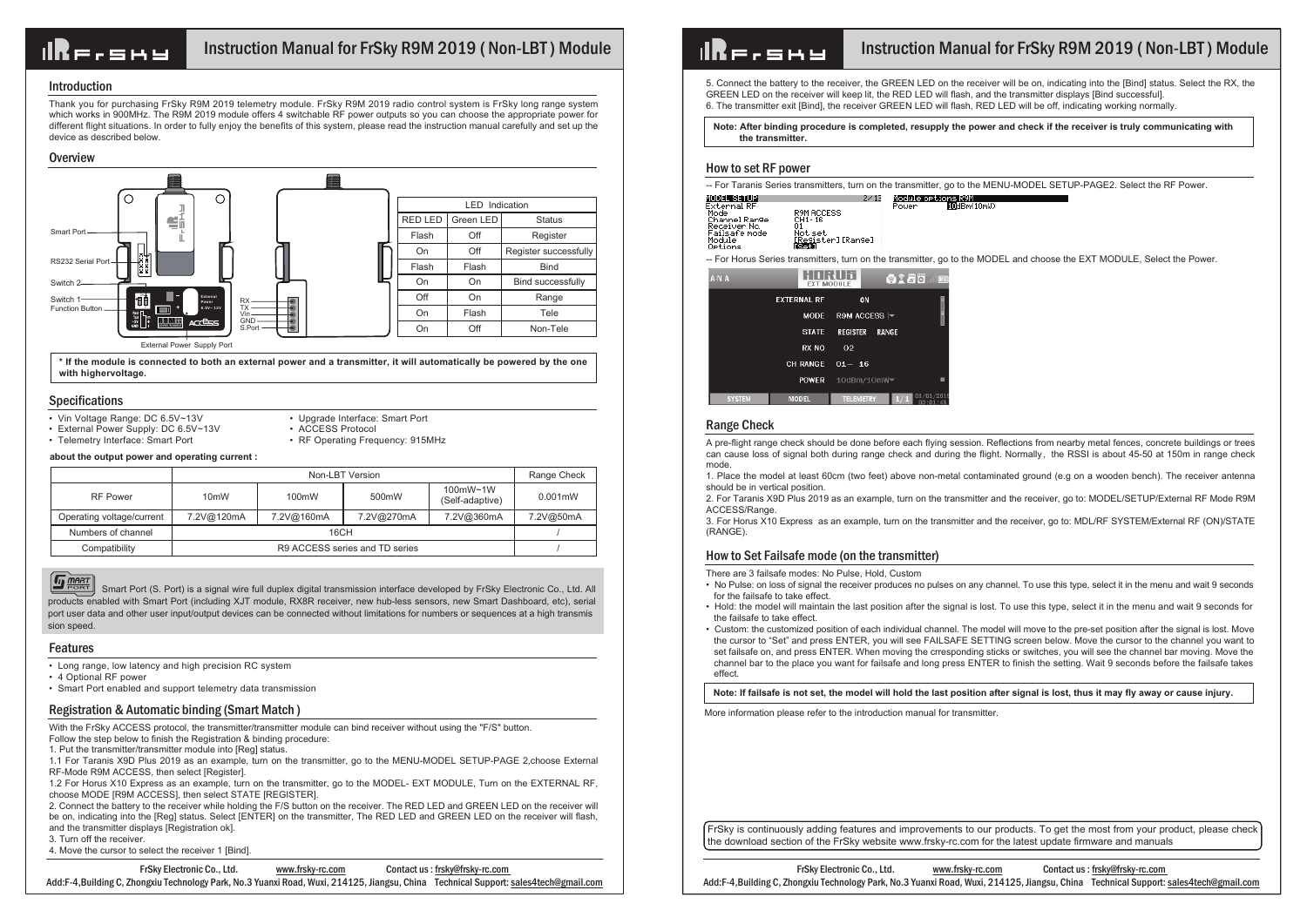# 1Re,swy

Thank you for purchasing FrSky R9M 2019 telemetry module. FrSky R9M 2019 radio control system is FrSky long range system which works in 900MHz. The R9M 2019 module offers 4 switchable RF power outputs so you can choose the appropriate power for different flight situations. In order to fully enjoy the benefits of this system, please read the instruction manual carefully and set up the device as described below.



**\* If the module is connected to both an external power and a transmitter, it will automatically be powered by the one with highervoltage.**

### **Specifications**

- Vin Voltage Range: DC 6.5V~13V
- External Power Supply: DC 6.5V~13V
- Telemetry Interface: Smart Port
- Upgrade Interface: Smart Port • ACCESS Protocol
- RF Operating Frequency: 915MHz

### **about the output power and operating current :**

|                           | Non-LBT Version                |            |            | Range Check                 |            |
|---------------------------|--------------------------------|------------|------------|-----------------------------|------------|
| <b>RF</b> Power           | 10 <sub>m</sub> W              | 100mW      | 500mW      | 100mW~1W<br>(Self-adaptive) | $0.001$ mW |
| Operating voltage/current | 7.2V@120mA                     | 7.2V@160mA | 7.2V@270mA | 7.2V@360mA                  | 7.2V@50mA  |
| Numbers of channel        | 16CH                           |            |            |                             |            |
| Compatibility             | R9 ACCESS series and TD series |            |            |                             |            |

 $\sqrt{q}$  MART

Smart Port (S. Port) is a signal wire full duplex digital transmission interface developed by FrSky Electronic Co., Ltd. All products enabled with Smart Port (including XJT module, RX8R receiver, new hub-less sensors, new Smart Dashboard, etc), serial port user data and other user input/output devices can be connected without limitations for numbers or sequences at a high transmis sion speed

### Features

- Long range, low latency and high precision RC system
- 4 Optional RF power
- Smart Port enabled and support telemetry data transmission

### Registration & Automatic binding (Smart Match )

With the FrSky ACCESS protocol, the transmitter/transmitter module can bind receiver without using the "F/S" button.

- Follow the step below to finish the Registration & binding procedure:
- 1. Put the transmitter/transmitter module into [Reg] status.
- 1.1 For Taranis X9D Plus 2019 as an example, turn on the transmitter, go to the MENU-MODEL SETUP-PAGE 2,choose External RF-Mode R9M ACCESS, then select [Register].
- 1.2 For Horus X10 Express as an example, turn on the transmitter, go to the MODEL- EXT MODULE, Turn on the EXTERNAL RF, choose MODE [R9M ACCESS], then select STATE [REGISTER].
- 2. Connect the battery to the receiver while holding the F/S button on the receiver. The RED LED and GREEN LED on the receiver will be on, indicating into the [Reg] status. Select [ENTER] on the transmitter, The RED LED and GREEN LED on the receiver will flash, and the transmitter displays [Registration ok].
- 3. Turn off the receiver.
- 4. Move the cursor to select the receiver 1 [Bind].

 FrSky Electronic Co., Ltd. www.frsky-rc.com Contact us : frsky@frsky-rc.com Add:F-4,Building C, Zhongxiu Technology Park, No.3 Yuanxi Road, Wuxi, 214125, Jiangsu, China Technical Support: sales4tech@gmail.com

## Instruction Manual for FrSky R9M 2019 (Non-LBT) Module | **Instruction Manual for FrSky R9M 2019 (Non-LBT)** Module

Introduction The receiver, the GREEN LED on the receiver will be on, indicating into the [Bind] status. Select the RX, the GREEN LED on the receiver will keep lit, the RED LED will flash, and the transmitter displays [Bind successful]. 6. The transmitter exit [Bind], the receiver GREEN LED will flash, RED LED will be off, indicating working normally.

> **Note: After binding procedure is completed, resupply the power and check if the receiver is truly communicating with the transmitter.**

### How to set RF power

-- For Taranis Series transmitters, turn on the transmitter, go to the MENU-MODEL SETUP-PAGE2. Select the RF Power.

Module ortions R9M



-- For Horus Series transmitters, turn on the transmitter, go to the MODEL and choose the EXT MODULE, Select the Power.

| A-N A         | HURUS<br>EXT MODULE | 6180                     | $\Box$     |
|---------------|---------------------|--------------------------|------------|
|               | <b>EXTERNAL RF</b>  | ON.                      |            |
|               | <b>MODE</b>         | R9M ACCESS <sup>I</sup>  |            |
|               | <b>STATE</b>        | <b>REGISTER</b><br>RANGE |            |
|               | <b>RX NO</b>        | 02                       |            |
|               | <b>CH RANGE</b>     | $01 - 16$                |            |
|               | <b>POWER</b>        | 10dBm/10mW               | 日          |
| <b>SYSTEM</b> | <b>MODEL</b>        | <b>TELEMETRY</b>         | 01/01/2015 |

### Range Check

A pre-flight range check should be done before each flying session. Reflections from nearby metal fences, concrete buildings or trees can cause loss of signal both during range check and during the flight. Normally, the RSSI is about 45-50 at 150m in range check mode.

1. Place the model at least 60cm (two feet) above non-metal contaminated ground (e.g on a wooden bench). The receiver antenna should be in vertical position.

2. For Taranis X9D Plus 2019 as an example, turn on the transmitter and the receiver, go to: MODEL/SETUP/External RF Mode R9M ACCESS/Range

3. For Horus X10 Express as an example, turn on the transmitter and the receiver, go to: MDL/RF SYSTEM/External RF (ON)/STATE (RANGE).

### How to Set Failsafe mode (on the transmitter)

- There are 3 failsafe modes: No Pulse, Hold, Custom
- No Pulse: on loss of signal the receiver produces no pulses on any channel. To use this type, select it in the menu and wait 9 seconds for the failsafe to take effect.
- Hold: the model will maintain the last position after the signal is lost. To use this type, select it in the menu and wait 9 seconds for the failsafe to take effect.
- Custom: the customized position of each individual channel. The model will move to the pre-set position after the signal is lost. Move the cursor to "Set" and press ENTER, you will see FAILSAFE SETTING screen below. Move the cursor to the channel you want to set failsafe on, and press ENTER. When moving the crresponding sticks or switches, you will see the channel bar moving. Move the channel bar to the place you want for failsafe and long press ENTER to finish the setting. Wait 9 seconds before the failsafe takes effect.

**Note: If failsafe is not set, the model will hold the last position after signal is lost, thus it may fly away or cause injury.**

More information please refer to the introduction manual for transmitter.

FrSky is continuously adding features and improvements to our products. To get the most from your product, please check the download section of the FrSky website www.frsky-rc.com for the latest update firmware and manuals

 FrSky Electronic Co., Ltd. www.frsky-rc.com Contact us : frsky@frsky-rc.com Add:F-4,Building C, Zhongxiu Technology Park, No.3 Yuanxi Road, Wuxi, 214125, Jiangsu, China Technical Support: sales4tech@gmail.com